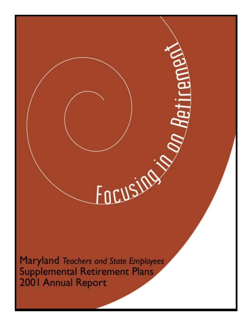Maryland Teachers and State Employees **Supplemental Retirement Plans** 2001 Annual Report

FOCUSIONS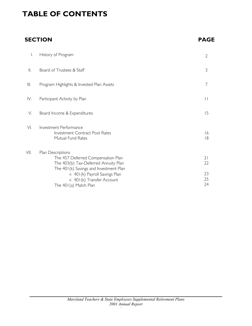# **TABLE OF CONTENTS**

# **SECTION PAGE**

| I.   | History of Program                                                                                                                        | $\overline{2}$ |
|------|-------------------------------------------------------------------------------------------------------------------------------------------|----------------|
| Ⅱ.   | Board of Trustees & Staff                                                                                                                 | 3              |
| Ш.   | Program Highlights & Invested Plan Assets                                                                                                 | 7              |
| IV.  | Participant Activity by Plan                                                                                                              | $\mathbf{  }$  |
| V.   | Board Income & Expenditures                                                                                                               | 15             |
| VI.  | Investment Performance<br><b>Investment Contract Pool Rates</b><br>Mutual Fund Rates                                                      | 16<br> 8       |
| VII. | Plan Descriptions<br>The 457 Deferred Compensation Plan<br>The 403(b) Tax-Deferred Annuity Plan<br>The 401(k) Savings and Investment Plan | 21<br>22       |
|      | < 401(k) Payroll Savings Plan<br>< 401(k) Transfer Account<br>The 401(a) Match Plan                                                       | 23<br>25<br>24 |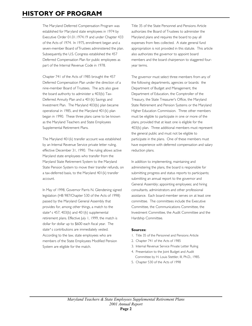# **HISTORY OF PROGRAM**

The Maryland Deferred Compensation Program was established for Maryland state employees in 1974 by Executive Order 01.01.1974.19 and under Chapter 433 of the Acts of 1974. In 1975, enrollment began and a seven-member Board of Trustees administered the plan. Subsequently, the U.S. Congress established the 457 Deferred Compensation Plan for public employees as part of the Internal Revenue Code in 1978.

Chapter 741 of the Acts of 1985 brought the 457 Deferred Compensation Plan under the direction of a nine-member Board of Trustees. The acts also gave the board authority to administer a 403(b) Tax-Deferred Annuity Plan and a 401(k) Savings and Investment Plan. The Maryland 403(b) plan became operational in 1985, and the Maryland 401(k) plan began in 1990. These three plans came to be known as the Maryland Teachers and State Employees Supplemental Retirement Plans.

The Maryland 401(k) transfer account was established by an Internal Revenue Service private letter ruling, effective December 31, 1990. The ruling allows active Maryland state employees who transfer from the Maryland State Retirement System to the Maryland State Pension System to move their transfer refunds, on a tax-deferred basis, to the Maryland 401(k) transfer account.

In May of 1998, Governor Parris N. Glendening signed legislation (HB 987/Chapter 530 of the Acts of 1998) passed by the Maryland General Assembly that provides for, among other things, a match to the state's 457, 403(b) and 401(k) supplemental retirement plans. Effective July 1, 1999, the match is dollar for dollar up to \$600 each fiscal year. The state's contributions are immediately vested. According to the law, state employees who are members of the State Employees Modified Pension System are eligible for the match.

Title 35 of the State Personnel and Pensions Article authorizes the Board of Trustees to administer the Maryland plans and requires the board to pay all expenses from fees collected. A state general fund appropriation is not provided in this statute. This article also authorizes the governor to appoint board members and the board chairperson to staggered fouryear terms.

The governor must select three members from any of the following departments, agencies or boards: the Department of Budget and Management, the Department of Education, the Comptroller of the Treasury, the State Treasurer's Office, the Maryland State Retirement and Pension Systems or the Maryland Higher Education Commission. Three other members must be eligible to participate in one or more of the plans, provided that at least one is eligible for the 403(b) plan. Three additional members must represent the general public and must not be eligible to participate in the plans. One of these members must have experience with deferred compensation and salary reduction plans.

In addition to implementing, maintaining and administering the plans, the board is responsible for submitting progress and status reports to participants; submitting an annual report to the governor and General Assembly; appointing employees; and hiring consultants, administrators and other professional assistance. Each board member serves on at least one committee. The committees include the Executive Committee, the Communications Committee, the Investment Committee, the Audit Committee and the Hardship Committee.

#### **Sources:**

- 1. Title 35 of the Personnel and Pensions Article
- 2. Chapter 741 of the Acts of 1985
- 3. Internal Revenue Service Private Letter Ruling
- 4. Presentation to the Joint Budget and Audit Committee by H. Louis Stettler, III, Ph.D., 1985.
- 5. Chapter 530 of the Acts of 1998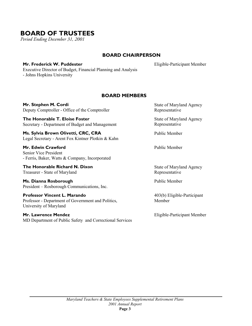# **BOARD OF TRUSTEES**

*Period Ending December 31, 2001*

## **BOARD CHAIRPERSON**

**Mr. Frederick W. Puddester** Executive Director of Budget, Financial Planning and Analysis - Johns Hopkins University

Eligible-Participant Member

## **BOARD MEMBERS**

**Mr. Stephen M. Cordi** Deputy Comptroller - Office of the Comptroller

**The Honorable T. Eloise Foster** Secretary - Department of Budget and Management

**Ms. Sylvia Brown Olivetti, CRC, CRA** Legal Secretary - Arent Fox Kintner Plotkin & Kahn

**Mr. Edwin Crawford** Senior Vice President - Ferris, Baker, Watts & Company, Incorporated

**The Honorable Richard N. Dixon**  Treasurer - State of Maryland

**Ms. Dianna Rosborough** President – Rosborough Communications, Inc.

**Professor Vincent L. Marando** Professor - Department of Government and Politics, University of Maryland

**Mr. Lawrence Mendez** MD Department of Public Safety and Correctional Services State of Maryland Agency Representative

State of Maryland Agency Representative

Public Member

Public Member

State of Maryland Agency Representative

Public Member

403(b) Eligible-Participant Member

Eligible-Participant Member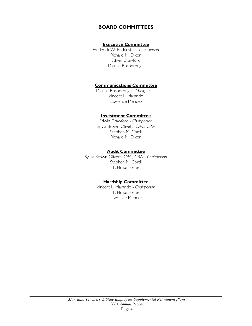## **BOARD COMMITTEES**

### **Executive Committee**

Frederick W. Puddester - *Chairperson*  Richard N. Dixon Edwin Crawford Dianna Rosborough

### **Communications Committee**

Dianna Rosborough - *Chairperson* Vincent L. Marando Lawrence Mendez

### **Investment Committee**

Edwin Crawford - *Chairperson* Sylvia Brown Olivetti, CRC, CRA Stephen M. Cordi Richard N. Dixon

### **Audit Committee**

Sylvia Brown Olivetti, CRC, CRA - *Chairperson* Stephen M. Cordi T. Eloise Foster

### **Hardship Committee**

Vincent L. Marando - *Chairperson*  T. Eloise Foster Lawrence Mendez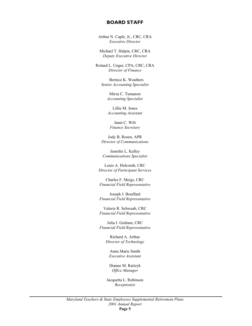### **BOARD STAFF**

Arthur N. Caple, Jr., CRC, CRA *Executive Director* 

Michael T. Halpin, CRC, CRA *Deputy Executive Director* 

Roland L. Unger, CPA, CRC, CRA *Director of Finance* 

> Bernice K. Weathers *Senior Accounting Specialist*

> > Mirza C. Tumanon *Accounting Specialist*

Lillie M. Jones *Accounting Assistant* 

Janet C. Wilt *Finance Secretary* 

Jody B. Rosen, APR *Director of Communications* 

Jennifer L. Kelley *Communications Specialist* 

Louis A. Holcomb, CRC *Director of Participant Services* 

Charles F. Meigs, CRC *Financial Field Representative* 

Joseph J. Bouffard *Financial Field Representative* 

Valerie R. Schwaab, CRC *Financial Field Representative* 

Julia I. Graham, CRC *Financial Field Representative* 

> Richard A. Arthur *Director of Technology*

Anna Marie Smith *Executive Assistant* 

Dianne M. Raitzyk *Office Manager* 

Jacquetta L. Robinson *Receptionist*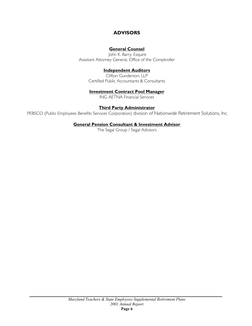# **ADVISORS**

### **General Counsel**

 John K. Barry, Esquire Assistant Attorney General, Office of the Comptroller

### **Independent Auditors**

Clifton Gunderson, LLP Certified Public Accountants & Consultants

### **Investment Contract Pool Manager**

ING AETNA Financial Services

### **Third Party Administrator**

PEBSCO (Public Employees Benefits Services Corporation) division of Nationwide Retirement Solutions, Inc.

### **General Pension Consultant & Investment Advisor**

The Segal Group / Segal Advisors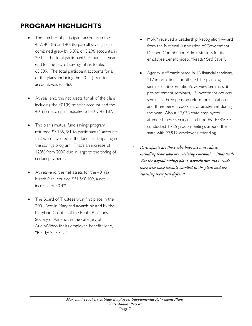# **PROGRAM HIGHLIGHTS**

- The number of participant accounts in the 457, 403(b) and 401(k) payroll savings plans combined grew by 5.3%, or 3,296 accounts, in 2001. The total participant\* accounts at yearend for the payroll savings plans totaled 65,339. The total participant accounts for all of the plans, including the 401(k) transfer account, was 65,862.
- At year end, the net assets for all of the plans, including the 401(k) transfer account and the 401(a) match plan, equaled \$1,601,142,187.
- The plan's mutual fund savings program returned \$3,165,781 to participants' accounts that were invested in the funds participating in the savings program. That's an increase of 128% from 2000 due in large to the timing of certain payments.
- At year-end, the net assets for the  $401(a)$ Match Plan, equaled \$51,560,409, a net increase of 50.4%.
- The Board of Trustees won first place in the 2001 Best In Maryland awards hosted by the Maryland Chapter of the Public Relations Society of America in the category of Audio/Video for its employee benefit video, "Ready? Set? Save!".
- MSRP received a Leadership Recognition Award from the National Association of Government Defined Contribution Administrators for its employee benefit video, "Ready? Set? Save!".
- Agency staff participated in 16 financial seminars, 217 informational booths, 71 life-planning seminars, 58 orientation/overview seminars, 81 pre-retirement seminars, 13 investment options seminars, three pension reform presentations and three benefit coordinator academies during the year. About 17,636 state employees attended these seminars and booths. PEBSCO conducted 1,725 group meetings around the state with 27,912 employees attending.
- *\* Participants are those who have account values, including those who are receiving systematic withdrawals. For the payroll savings plans, participants also include those who have recently enrolled in the plans and are awaiting their first deferral.*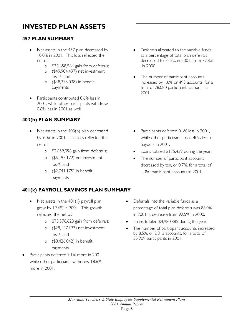# **INVESTED PLAN ASSETS**

# **457 PLAN SUMMARY**

- Net assets in the 457 plan decreased by 10.0% in 2001. This loss reflected the net of:
	- o \$33,658,564 gain from deferrals;
	- o (\$49,904,497) net investment loss \*; and
	- o (\$48,375,038) in benefit payments.
- Participants contributed 0.6% less in 2001, while other participants withdrew 0.6% less in 2001 as well.

# **403(b) PLAN SUMMARY**

- Net assets in the 403(b) plan decreased by 9.0% in 2001. This loss reflected the net of:
	- o \$2,859,098 gain from deferrals;
	- o (\$6,195,172) net investment loss\*; and
	- o (\$2,741,175) in benefit payments.

# **401(k) PAYROLL SAVINGS PLAN SUMMARY**

- Net assets in the 401(k) payroll plan grew by 12.6% in 2001. This growth reflected the net of:
	- o \$73,576,628 gain from deferrals;
	- o (\$29,147,123) net investment loss\*; and
	- o (\$8,426,042) in benefit payments.
- Participants deferred 9.1% more in 2001, while other participants withdrew 18.6% more in 2001.
- Deferrals allocated to the variable funds as a percentage of total plan deferrals decreased to 72.8% in 2001, from 77.8% in 2000.
- The number of participant accounts increased by 1.8% or 493 accounts, for a total of 28,080 participant accounts in 2001.

- Participants deferred 0.6% less in 2001, while other participants took 40% less in payouts in 2001.
- Loans totaled \$175,439 during the year.
- The number of participant accounts decreased by ten, or 0.7%, for a total of 1,350 participant accounts in 2001.
- Deferrals into the variable funds as a percentage of total plan deferrals was 88.0% in 2001, a decrease from 92.5% in 2000.
- Loans totaled \$4,980,885 during the year.
- The number of participant accounts increased by 8.5%, or 2,813 accounts, for a total of 35,909 participants in 2001.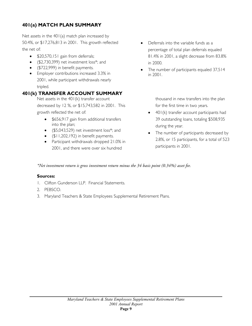# **401(a) MATCH PLAN SUMMARY**

Net assets in the 401(a) match plan increased by 50.4%, or \$17,276,813 in 2001. This growth reflected the net of:

- \$20,570,151 gain from deferrals;
- (\$2,730,399) net investment loss\*; and
- (\$722,999) in benefit payments.
- Employer contributions increased 3.3% in 2001, while participant withdrawals nearly tripled.

# **401(k) TRANSFER ACCOUNT SUMMARY**

Net assets in the 401(k) transfer account decreased by 12 %, or \$15,743,582 in 2001. This growth reflected the net of:

- \$656,917 gain from additional transfers into the plan;
- (\$5,043,529) net investment loss\*; and
- (\$11,202,192) in benefit payments.
- Participant withdrawals dropped 21.0% in 2001, and there were over six hundred
- Deferrals into the variable funds as a percentage of total plan deferrals equaled 81.4% in 2001, a slight decrease from 83.8% in 2000.
- The number of participants equaled 37,514 in 2001.

thousand in new transfers into the plan for the first time in two years.

- 401(k) transfer account participants had 39 outstanding loans, totaling \$508,935 during the year.
- The number of participants decreased by 2.8%, or 15 participants, for a total of 523 participants in 2001.

*\*Net investment return is gross investment return minus the 34 basis point (0.34%) asset fee.* 

### **Sources:**

- 1. Clifton Gunderson LLP. Financial Statements.
- 2. PEBSCO.
- 3. Maryland Teachers & State Employees Supplemental Retirement Plans.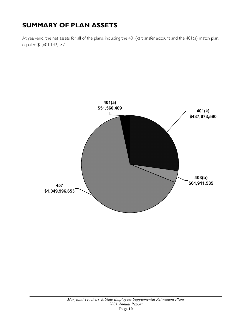# **SUMMARY OF PLAN ASSETS**

At year-end, the net assets for all of the plans, including the 401(k) transfer account and the 401(a) match plan, equaled \$1,601,142,187.

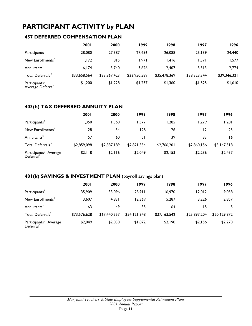# **PARTICIPANT ACTIVITY by PLAN**

# **457 DEFERRED COMPENSATION PLAN**

|                                                | 2001         | 2000         | 1999         | 1998         | 1997         | 1996         |
|------------------------------------------------|--------------|--------------|--------------|--------------|--------------|--------------|
| Participants                                   | 28,080       | 27,587       | 27.456       | 26,088       | 25,139       | 24,440       |
| New Enrollments'                               | 1,172        | 815          | 1.971        | 1,416        | 1,371        | 1,577        |
| Annuitants <sup>2</sup>                        | 6.174        | 3.740        | 3,626        | 2.407        | 3,313        | 2,774        |
| Total Deferrals <sup>3</sup>                   | \$33,658,564 | \$33,867,423 | \$33,950,589 | \$35,478,369 | \$38,323,344 | \$39,346,321 |
| Participants'<br>Average Deferral <sup>4</sup> | \$1,200      | \$1,228      | \$1,237      | \$1,360      | \$1,525      | \$1,610      |

## **403(b) TAX DEFERRED ANNUITY PLAN**

|                                                | <b>2001</b> | 2000        | 1999        | 1998        | 1997        | 1996        |
|------------------------------------------------|-------------|-------------|-------------|-------------|-------------|-------------|
| Participants                                   | 1,350       | 1,360       | 1.377       | 285, ا      | 279, ا      | 1,281       |
| New Enrollments'                               | 28          | 34          | 128         | 26          | 12          | 23          |
| Annuitants <sup>2</sup>                        | 57          | 60          | 51          | 39          | 33          | 16          |
| Total Deferrals <sup>3</sup>                   | \$2,859,098 | \$2,887,189 | \$2,821,354 | \$2,766,201 | \$2,860,156 | \$3,147,518 |
| Participants' Average<br>Deferral <sup>4</sup> | \$2,118     | \$2,116     | \$2,049     | \$2,153     | \$2,236     | \$2,457     |

## **401(k) SAVINGS & INVESTMENT PLAN** (payroll savings plan)

|                                                | <b>2001</b>  | 2000         | 1999         | 1998         | 1997         | 1996         |
|------------------------------------------------|--------------|--------------|--------------|--------------|--------------|--------------|
| Participants                                   | 35,909       | 33,096       | 28,911       | 16,970       | 12,012       | 9,058        |
| New Enrollments'                               | 3,607        | 4,831        | 12.369       | 5,287        | 3,226        | 2,857        |
| Annuitants <sup>2</sup>                        | 63           | 49           | 35           | 64           | 15           | 5.           |
| Total Deferrals <sup>3</sup>                   | \$73,576,628 | \$67,440,557 | \$54,121,348 | \$37,163,542 | \$25,897,204 | \$20,629,872 |
| Participants' Average<br>Deferral <sup>4</sup> | \$2,049      | \$2,038      | \$1,872      | \$2,190      | \$2,156      | \$2,278      |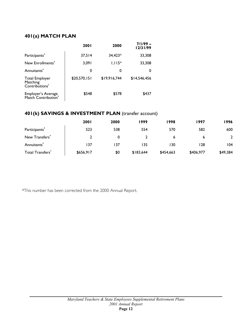## **401(a) MATCH PLAN**

|                                                          | <b>2001</b>  | 2000         | $7/1/99 -$<br>12/31/99 |
|----------------------------------------------------------|--------------|--------------|------------------------|
| Participants <sup>4</sup>                                | 37,514       | $34,423*$    | 33,308                 |
| New Enrollments <sup>4</sup>                             | 3,091        | $1,115*$     | 33,308                 |
| Annuitants <sup>4</sup>                                  | 0            | 0            | 0                      |
| Total Employer<br>Matching<br>Contributions <sup>3</sup> | \$20,570,151 | \$19,916,744 | \$14,546,456           |
| Employer's Average<br>Match Contribution                 | \$548        | \$578        | \$437                  |

## **401(k) SAVINGS & INVESTMENT PLAN** (transfer account)

|                              | <b>2001</b> | 2000 | 1999      | 1998      | 1997      | 1996     |
|------------------------------|-------------|------|-----------|-----------|-----------|----------|
| Participants <sup>4</sup>    | 523         | 538  | 554       | 570       | 582       | 600      |
| New Transfers <sup>4</sup>   |             | 0    |           | 6         | 6         |          |
| Annuitants <sup>*</sup>      | 137         | 137  | 135       | 130       | 128       | 104      |
| Total Transfers <sup>3</sup> | \$656,917   | \$0  | \$183,644 | \$454,663 | \$406,977 | \$49,384 |

\*This number has been corrected from the 2000 Annual Report.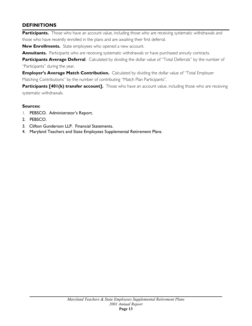## **DEFINITIONS**

Participants. Those who have an account value, including those who are receiving systematic withdrawals and those who have recently enrolled in the plans and are awaiting their first deferral.

**New Enrollments.** State employees who opened a new account.

**Annuitants.** Participants who are receiving systematic withdrawals or have purchased annuity contracts.

Participants Average Deferral. Calculated by dividing the dollar value of "Total Deferrals" by the number of "Participants" during the year.

**Employer's Average Match Contribution.** Calculated by dividing the dollar value of "Total Employer Matching Contributions" by the number of contributing "Match Plan Participants".

**Participants [401(k) transfer account].** Those who have an account value, including those who are receiving systematic withdrawals.

## **Sources:**

- 1. PEBSCO. Administrator's Report.
- 2. PEBSCO.
- 3. Clifton Gunderson LLP. Financial Statements.
- 4. Maryland Teachers and State Employees Supplemental Retirement Plans.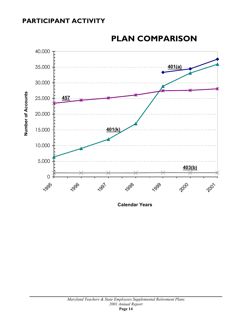# **PARTICIPANT ACTIVITY**



# **PLAN COMPARISON**

**Calendar Years**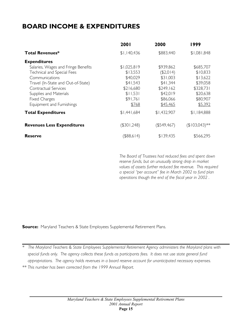# **BOARD INCOME & EXPENDITURES**

|                                     | 2001           | 2000           | 1999            |
|-------------------------------------|----------------|----------------|-----------------|
| <b>Total Revenues*</b>              | \$1,140,436    | \$883,440      | \$1,081,848     |
| <b>Expenditures</b>                 |                |                |                 |
| Salaries, Wages and Fringe Benefits | \$1,025,819    | \$939,862      | \$685,707       |
| Technical and Special Fees          | \$13,553       | (\$2,014)      | \$10,833        |
| Communications                      | \$40,029       | \$31,003       | \$13,622        |
| Travel (In-State and Out-of-State)  | \$41,543       | \$41,344       | \$39,058        |
| Contractual Services                | \$216,680      | \$249,162      | \$328,731       |
| Supplies and Materials              | \$11,531       | \$42,019       | \$20,638        |
| <b>Fixed Charges</b>                | \$91,761       | \$86,066       | \$80,907        |
| Equipment and Furnishings           | \$768          | \$45,465       | \$5,392         |
| <b>Total Expenditures</b>           | \$1,441,684    | \$1,432,907    | \$1,184,888     |
| <b>Revenues Less Expenditures</b>   | $($ \$301,248) | $($ \$549,467) | $($103,043)$ ** |
| <b>Reserve</b>                      | $($ \$88,614)  | \$139,435      | \$566,295       |

*The Board of Trustees had reduced fees and spent down reserve funds, but an unusually strong drop in market values of assets further reduced fee revenue. This required a special "per account" fee in March 2002 to fund plan operations though the end of the fiscal year in 2002 .* 

**Source:** Maryland Teachers & State Employees Supplemental Retirement Plans.

*\* The Maryland Teachers & State Employees Supplemental Retirement Agency administers the Maryland plans with special funds only. The agency collects these funds as participants fees. It does not use state general fund appropriations. The agency holds revenues in a board reserve account for unanticipated necessary expenses. \*\* This number has been corrected from the 1999 Annual Report.*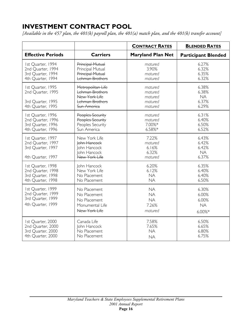# **INVESTMENT CONTRACT POOL**

*[Available in the 457 plan, the 401(k) payroll plan, the 401(a) match plan, and the 401(k) transfer account]*

|                                                                                  |                                                                                                       | <b>CONTRACT RATES</b>                                   | <b>BLENDED RATES</b>                           |
|----------------------------------------------------------------------------------|-------------------------------------------------------------------------------------------------------|---------------------------------------------------------|------------------------------------------------|
| <b>Effective Periods</b>                                                         | <b>Carriers</b>                                                                                       | <b>Maryland Plan Net</b>                                | <b>Participant Blended</b>                     |
| 1st Quarter, 1994<br>2nd Quarter, 1994<br>3rd Quarter, 1994<br>4th Quarter, 1994 | Principal Mutual<br>Principal Mutual<br>Principal Mutual<br>Lehman Brothers                           | matured<br>3.90%<br>matured<br>matured                  | 6.27%<br>6.32%<br>6.35%<br>6.32%               |
| 1st Quarter, 1995<br>2nd Quarter, 1995<br>3rd Quarter, 1995<br>4th Quarter, 1995 | Metropolitan Life<br><b>Lehman Brothers</b><br>New York Life<br><b>Lehman Brothers</b><br>Sun America | matured<br>matured<br>matured<br>matured<br>matured     | 6.38%<br>6.38%<br><b>NA</b><br>6.37%<br>6.29%  |
| 1st Quarter, 1996<br>2nd Quarter, 1996<br>3rd Quarter, 1996<br>4th Quarter, 1996 | Peoples Security<br>Peoples Security<br>Peoples Security<br>Sun America                               | matured<br>matured<br>7.00%*<br>6.58%*                  | 6.31%<br>6.40%<br>6.50%<br>6.52%               |
| 1st Quarter, 1997<br>2nd Quarter, 1997<br>3rd Quarter, 1997<br>4th Quarter, 1997 | New York Life<br>John Hancock<br>John Hancock<br>John Hancock<br>New York Life                        | 7.22%<br>matured<br>6.16%<br>6.32%<br>matured           | 6.43%<br>6.42%<br>6.42%<br><b>NA</b><br>6.37%  |
| 1st Quarter, 1998<br>2nd Quarter, 1998<br>3rd Quarter, 1998<br>4th Quarter, 1998 | John Hancock<br>New York Life<br>No Placement<br>No Placement                                         | 6.20%<br>6.12%<br><b>NA</b><br><b>NA</b>                | 6.35%<br>6.40%<br>6.40%<br>6.50%               |
| 1st Quarter, 1999<br>2nd Quarter, 1999<br>3rd Quarter, 1999<br>4th Quarter, 1999 | No Placement<br>No Placement<br>No Placement<br>Monumental Life<br>New York Life                      | <b>NA</b><br><b>NA</b><br><b>NA</b><br>7.26%<br>matured | 6.30%<br>6.00%<br>6.00%<br><b>NA</b><br>6.00%* |
| 1st Quarter, 2000<br>2nd Quarter, 2000<br>3rd Quarter, 2000<br>4th Quarter, 2000 | Canada Life<br>John Hancock<br>No Placement<br>No Placement                                           | 7.58%<br>7.65%<br><b>NA</b><br><b>NA</b>                | 6.50%<br>6.65%<br>6.80%<br>6.75%               |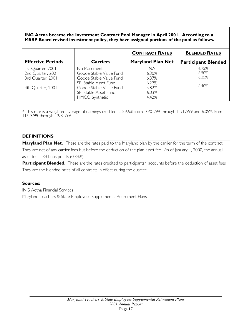### **ING Aetna became the Investment Contract Pool Manager in April 2001. According to a MSRP Board revised investment policy, they have assigned portions of the pool as follows.**

|                                                                                  |                                                                                                                                                                    | <b>CONTRACT RATES</b>                                    | <b>BLENDED RATES</b>             |
|----------------------------------------------------------------------------------|--------------------------------------------------------------------------------------------------------------------------------------------------------------------|----------------------------------------------------------|----------------------------------|
| <b>Effective Periods</b>                                                         | <b>Carriers</b>                                                                                                                                                    | <b>Maryland Plan Net</b>                                 | <b>Participant Blended</b>       |
| 1st Quarter, 2001<br>2nd Quarter, 2001<br>3rd Quarter, 2001<br>4th Ouarter, 2001 | No Placement<br>Goode Stable Value Fund<br>Goode Stable Value Fund<br>SEI Stable Asset Fund<br>Goode Stable Value Fund<br>SEI Stable Asset Fund<br>PIMCO Synthetic | NA<br>6.30%<br>6.37%<br>6.22%<br>5.82%<br>6.03%<br>4.42% | 6.75%<br>6.50%<br>6.35%<br>6.40% |

\* This rate is a weighted average of earnings credited at 5.66% from 10/01/99 through 11/12/99 and 6.05% from 11/13/99 through 12/31/99.

### **DEFINITIONS**

Maryland Plan Net. These are the rates paid to the Maryland plan by the carrier for the term of the contract. They are net of any carrier fees but before the deduction of the plan asset fee. As of January 1, 2000, the annual asset fee is 34 basis points (0.34%)

Participant Blended. These are the rates credited to participants' accounts before the deduction of asset fees. They are the blended rates of all contracts in effect during the quarter.

### **Sources:**

ING Aetna Financial Services Maryland Teachers & State Employees Supplemental Retirement Plans.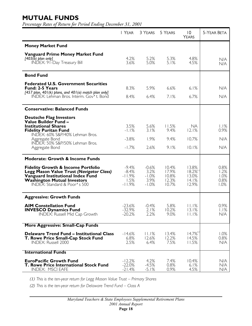# **MUTUAL FUNDS**

*Percentage Rates of Return for Period Ending December 31, 2001*

|                                                                                                                                                                                                                                 | I YEAR                                             | 3 YEARS                                       | 5 YEARS                                   | $\overline{0}$<br><b>YEARS</b>                              | <b>5-YEAR BETA</b>                   |
|---------------------------------------------------------------------------------------------------------------------------------------------------------------------------------------------------------------------------------|----------------------------------------------------|-----------------------------------------------|-------------------------------------------|-------------------------------------------------------------|--------------------------------------|
| <b>Money Market Fund</b>                                                                                                                                                                                                        |                                                    |                                               |                                           |                                                             |                                      |
| <b>Vanguard Prime Money Market Fund</b><br>$[403(\bar{b})$ plan only]<br>INDEX: 91-Day Treasury Bill                                                                                                                            | 4.2%<br>3.6%                                       | 5.2%<br>5.0%                                  | 5.3%<br>5.1%                              | 4.8%<br>4.5%                                                | N/A<br>N/A                           |
| <b>Bond Fund</b>                                                                                                                                                                                                                |                                                    |                                               |                                           |                                                             |                                      |
| <b>Federated U.S. Government Securities</b><br><b>Fund: 2-5 Years</b><br>[457 plan, 401(k) plans, and 401(a) match plan only]<br>INDEX: Lehman Bros. Interm. Gov't. Bond                                                        | 8.3%<br>8.4%                                       | 5.9%<br>6.4%                                  | 6.6%<br>7.1%                              | 6.1%<br>6.7%                                                | N/A<br>N/A                           |
| <b>Conservative: Balanced Funds</b>                                                                                                                                                                                             |                                                    |                                               |                                           |                                                             |                                      |
| <b>Deutsche Flag Investors</b><br>Value Builder Fund -<br><b>Institutional Shares</b><br><b>Fidelity Puritan Fund</b><br>INDEX: 60% S&P/40% Lehman Bros.<br>Aggregate Bond<br>INDEX: 50% S&P/50% Lehman Bros.<br>Aggregate Bond | 3.5%<br>$-1.1%$<br>$-3.8%$<br>$-1.7%$              | 5.6%<br>3.1%<br>1.9%<br>2.6%                  | 11.5%<br>9.4%<br>9.4%<br>9.1%             | NA.<br>12.1%<br>10.7%<br>10.1%                              | 1.1%<br>0.9%<br>N/A<br>N/A           |
| <b>Moderate: Growth &amp; Income Funds</b>                                                                                                                                                                                      |                                                    |                                               |                                           |                                                             |                                      |
| <b>Fidelity Growth &amp; Income Portfolio</b><br>Legg Mason Value Trust (Navigator Class)<br>Vanguard Institutional Index Fund<br><b>Washington Mutual Investors</b><br>INDEX: Standard & Poor's 500                            | $-9.4%$<br>$-8.4%$<br>$-11.9%$<br>1.5%<br>$-11.9%$ | $-0.6%$<br>3.2%<br>$-1.0%$<br>3.9%<br>$-1.0%$ | 10.4%<br>17.9%<br>10.8%<br>12.3%<br>10.7% | 13.8%<br>$18.2\%$ <sup>(1)</sup><br>13.0%<br>14.1%<br>12.9% | 0.8%<br>1.2%<br>1.0%<br>0.8%<br>1.0% |
| <b>Aggressive: Growth Funds</b>                                                                                                                                                                                                 |                                                    |                                               |                                           |                                                             |                                      |
| <b>AIM Constellation Fund</b><br><b>INVESCO Dynamics Fund</b><br><b>INDEX: Russell Mid Cap Growth</b>                                                                                                                           | $-23.6%$<br>$-32.9%$<br>$-20.2%$                   | $-0.4%$<br>2.1%<br>2.2%                       | 5.8%<br>10.2%<br>9.0%                     | 11.1%<br>13.1%<br>11.1%                                     | 0.9%<br>1.1%<br>N/A                  |
| More Aggressive: Small-Cap Funds                                                                                                                                                                                                |                                                    |                                               |                                           |                                                             |                                      |
| <b>Delaware Trend Fund - Institutional Class</b><br>T. Rowe Price Small-Cap Stock Fund<br><b>INDEX: Russell 2000</b>                                                                                                            | $-14.6%$<br>6.8%<br>2.5%                           | 11.1%<br>12.6%<br>6.4%                        | 13.4%<br>12.2%<br>7.5%                    | $14.7\%$<br>14.5%<br>11.5%                                  | 1.0%<br>0.8%<br>N/A                  |
| <b>International Funds</b>                                                                                                                                                                                                      |                                                    |                                               |                                           |                                                             |                                      |
| <b>EuroPacific Growth Fund</b><br><b>T. Rowe Price International Stock Fund</b><br><b>INDEX: MSCI EAFE</b>                                                                                                                      | $-12.2%$<br>$-22.0%$<br>$-21.4%$                   | 4.2%<br>$-4.5%$<br>$-5.1%$                    | 7.4%<br>0.8%<br>0.9%                      | 10.4%<br>6.1%<br>4.5%                                       | N/A<br>N/A<br>N/A                    |

*(1) This is the ten-year return for Legg Mason Value Trust – Primary Shares* 

*(2) This is the ten-year return for Delaware Trend Fund – Class A*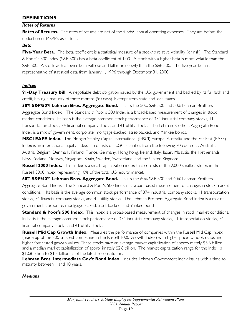## **DEFINITIONS**

## *Rates of Returns*

**Rates of Returns.** The rates of returns are net of the funds' annual operating expenses. They are before the deduction of MSRP's asset fees.

## *Beta*

Five-Year Beta. The beta coefficient is a statistical measure of a stock's relative volatility (or risk). The Standard & Poor's 500 Index (S&P 500) has a beta coefficient of 1.00. A stock with a higher beta is more volatile than the S&P 500. A stock with a lower beta will rise and fall more slowly than the S&P 500. The five-year beta is representative of statistical data from January 1, 1996 through December 31, 2000.

## *Indices*

**91-Day Treasury Bill.** A negotiable debt obligation issued by the U.S. government and backed by its full faith and credit, having a maturity of three months (90 days). Exempt from state and local taxes.

**50% S&P/50% Lehman Bros. Aggregate Bond.** This is the 50% S&P 500 and 50% Lehman Brothers Aggregate Bond Index. The Standard & Poor's 500 Index is a broad-based measurement of changes in stock market conditions. Its basis is the average common stock performance of 374 industrial company stocks, 11 transportation stocks, 74 financial company stocks, and 41 utility stocks. The Lehman Brothers Aggregate Bond Index is a mix of government, corporate, mortgage-backed, asset-backed, and Yankee bonds.

**MSCI EAFE Index.** The Morgan Stanley Capital International (MSCI) Europe, Australia, and the Far East (EAFE) Index is an international equity index. It consists of 1,030 securities from the following 20 countries: Australia, Austria, Belgium, Denmark, Finland, France, Germany, Hong Kong, Ireland, Italy, Japan, Malaysia, the Netherlands, New Zealand, Norway, Singapore, Spain, Sweden, Switzerland, and the United Kingdom.

**Russell 2000 Index.** This index is a small-capitalization index that consists of the 2,000 smallest stocks in the Russell 3000 Index, representing 10% of the total U.S. equity market.

**60% S&P/40% Lehman Bros. Aggregate Bond.** This is the 60% S&P 500 and 40% Lehman Brothers Aggregate Bond Index. The Standard & Poor's 500 Index is a broad-based measurement of changes in stock market conditions. Its basis is the average common stock performance of 374 industrial company stocks, 11 transportation stocks, 74 financial company stocks, and 41 utility stocks. The Lehman Brothers Aggregate Bond Index is a mix of government, corporate, mortgage-backed, asset-backed, and Yankee bonds.

**Standard & Poor's 500 Index.** This index is a broad-based measurement of changes in stock market conditions. Its basis is the average common stock performance of 374 industrial company stocks, 11 transportation stocks, 74 financial company stocks, and 41 utility stocks.

**Russell Mid Cap Growth Index.** Measures the performance of companies within the Russell Mid Cap Index (made up of the 800 smallest companies in the Russell 1000 Growth Index) with higher price-to-book ratios and higher forecasted growth values. These stocks have an average market capitalization of approximately \$3.6 billion and a median market capitalization of approximately \$2.8 billion. The market capitalization range for the Index is \$10.8 billion to \$1.3 billion as of the latest reconstitution.

Lehman Bros. Intermediate Gov't Bond Index. Includes Lehman Government Index Issues with a time to maturity between 1 and 10 years.

## *Medians*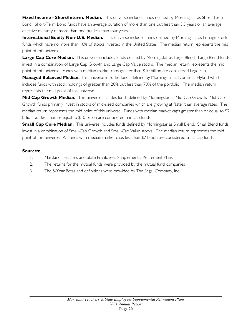**Fixed Income - Short/Interm. Median.** This universe includes funds defined by Morningstar as Short-Term Bond. Short-Term Bond funds have an average duration of more than one but less than 3.5 years or an average effective maturity of more than one but less than four years.

**International Equity Non-U.S. Median.** This universe includes funds defined by Morningstar as Foreign Stock funds which have no more than 10% of stocks invested in the United States. The median return represents the mid point of this universe.

**Large Cap Core Median.** This universe includes funds defined by Morningstar as Large Blend. Large Blend funds invest in a combination of Large Cap Growth and Large Cap Value stocks. The median return represents the mid point of this universe. Funds with median market caps greater than \$10 billion are considered large-cap.

**Managed Balanced Median.** This universe includes funds defined by Morningstar as Domestic Hybrid which includes funds with stock holdings of greater than 20% but less than 70% of the portfolio. The median return represents the mid point of this universe.

**Mid Cap Growth Median.** This universe includes funds defined by Morningstar as Mid-Cap Growth. Mid-Cap Growth funds primarily invest in stocks of mid-sized companies which are growing at faster than average rates. The median return represents the mid point of this universe. Funds with median market caps greater than or equal to \$2 billion but less than or equal to \$10 billion are considered mid-cap funds.

**Small Cap Core Median.** This universe includes funds defined by Morningstar as Small Blend. Small Blend funds invest in a combination of Small-Cap Growth and Small-Cap Value stocks. The median return represents the mid point of this universe. All funds with median market caps less than \$2 billion are considered small-cap funds.

### **Sources:**

- 1. Maryland Teachers and State Employees Supplemental Retirement Plans
- 2. The returns for the mutual funds were provided by the mutual fund companies
- 3. The 5-Year Betas and definitions were provided by The Segal Company, Inc.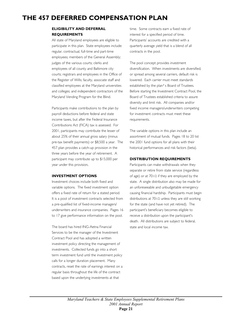# **THE 457 DEFERRED COMPENSATION PLAN**

### **ELIGIBILITY AND DEFERRAL REQUIREMENTS**

All state of Maryland employees are eligible to participate in this plan. State employees include: regular, contractual, full-time and part-time employees; members of the General Assembly; judges of the various courts; clerks and employees of all county and Baltimore city courts; registrars and employees in the Office of the Register of Wills; faculty, associate staff and classified employees at the Maryland universities and colleges; and independent contractors of the Maryland Vending Program for the Blind.

Participants make contributions to the plan by payroll deductions before federal and state income taxes, but after the Federal Insurance Contributions Act (FICA) tax is assessed. For 2001, participants may contribute the lesser of about 25% of their annual gross salary (minus pre-tax benefit payments) or \$8,500 a year. The 457 plan provides a catch-up provision in the three years before the year of retirement. A participant may contribute up to \$15,000 per year under this provision.

#### **INVESTMENT OPTIONS**

Investment choices include both fixed and variable options. The fixed investment option offers a fixed rate of return for a stated period. It is a pool of investment contracts selected from a pre-qualified list of fixed-income managers/ underwriters and insurance companies. Pages 16 to 17 give performance information on the pool.

The board has hired ING-Aetna Financial Services to be the manager of the Investment Contract Pool and has adopted a written investment policy directing the management of investments. Collected funds go into a short term investment fund until the investment policy calls for a longer duration placement. Many contracts, reset the rate of earnings interest on a regular basis throughout the life of the contract based upon the underlying investments at that

time. Some contracts earn a fixed rate of interest for a specified period of time. Participants' accounts are credited with a quarterly average yield that is a blend of all contracts in the pool.

The pool concept provides investment diversification. When investments are diversified, or spread among several carriers, default risk is lowered. Each carrier must meet standards established by the plan's Board of Trustees. Before starting the Investment Contract Pool, the Board of Trustees established criteria to assure diversity and limit risk. All companies and/or fixed income managers/underwriters competing for investment contracts must meet these requirements.

The variable options in this plan include an assortment of mutual funds. Pages 18 to 20 list the 2001 fund options for all plans with their historical performances and risk factors (beta).

#### **DISTRIBUTION REQUIREMENTS**

Participants can make withdrawals when they separate or retire from state service (regardless of age) or at 701/2 if they are employed by the state. A single distribution also may be made for an unforeseeable and unbudgetable emergency causing financial hardship. Participants must begin distributions at 701/2 unless they are still working for the state (and have not yet retired). The participant's beneficiary becomes eligible to receive a distribution upon the participant's death. All distributions are subject to federal, state and local income tax.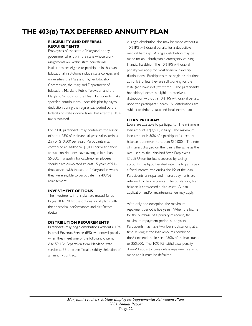# **THE 403(B) TAX DEFERRED ANNUITY PLAN**

#### **ELIGIBILITY AND DEFERRAL REQUIREMENTS**

Employees of the state of Maryland or any governmental entity in the state whose work assignments are within state educational institutions are eligible to participate in this plan. Educational institutions include state colleges and universities, the Maryland Higher Education Commission, the Maryland Department of Education, Maryland Public Television and the Maryland Schools for the Deaf. Participants make specified contributions under this plan by payroll deduction during the regular pay period before federal and state income taxes, but after the FICA tax is assessed.

For 2001, participants may contribute the lesser of about 25% of their annual gross salary (minus 2%) or \$10,500 per year. Participants may contribute an additional \$3,000 per year if their annual contributions have averaged less than \$5,000. To qualify for catch-up, employees should have completed at least 15 years of fulltime service with the state of Maryland in which they were eligible to participate in a 403(b) arrangement.

#### **INVESTMENT OPTIONS**

The investments in this plan are mutual funds. Pages 18 to 20 list the options for all plans with their historical performances and risk factors (beta).

#### **DISTRIBUTION REQUIREMENTS**

Participants may begin distributions without a 10% Internal Revenue Service (IRS) withdrawal penalty when they meet one of the following criteria: Age 59 1/2; Separation from Maryland state service at 55 or older; Total disability; Selection of an annuity contract.

A single distribution also may be made without a 10% IRS withdrawal penalty for a deductible medical hardship. A single distribution may be made for an unbudgetable emergency causing financial hardship. The 10% IRS withdrawal penalty will apply for most financial hardship distributions. Participants must begin distributions at 70 1/2 unless they are still working for the state (and have not yet retired). The participant's beneficiary becomes eligible to receive a distribution without a 10% IRS withdrawal penalty upon the participant's death. All distributions are subject to federal, state and local income tax.

#### **LOAN PROGRAM**

Loans are available to participants. The minimum loan amount is \$2,500, initially. The maximum loan amount is 50% of a participant's account balance, but never more than \$50,000. The rate of interest charged on the loan is the same as the rate used by the Maryland State Employees Credit Union for loans secured by savings accounts, the hypothecated rate. Participants pay a fixed interest rate during the life of the loan. Participants principal and interest payments are returned to their accounts. The outstanding loan balance is considered a plan asset. A loan application and/or maintenance fee may apply.

With only one exception, the maximum repayment period is five years. When the loan is for the purchase of a primary residence, the maximum repayment period is ten years. Participants may have two loans outstanding at a time as long as the loan amounts combined don't exceed the lesser of 50% of their accounts or \$50,000. The 10% IRS withdrawal penalty doesn't apply to loans unless repayments are not made and it must be defaulted.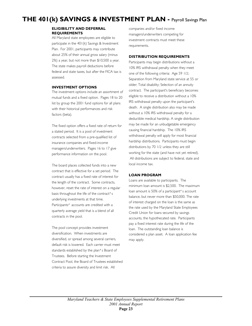# **THE 401(k) SAVINGS & INVESTMENT PLAN -** Payroll Savings Plan

#### **ELIGIBILITY AND DEFERRAL REQUIREMENTS**

All Maryland state employees are eligible to participate in the 401(k) Savings & Investment Plan. For 2001, participants may contribute about 25% of their annual gross salary (minus 2%) a year, but not more than \$10,500 a year. The state makes payroll deductions before federal and state taxes, but after the FICA tax is assessed.

#### **INVESTMENT OPTIONS**

The investment options include an assortment of mutual funds and a fixed option. Pages 18 to 20 list by group the 2001 fund options for all plans with their historical performances and risk factors (beta).

The fixed option offers a fixed rate of return for a stated period. It is a pool of investment contracts selected from a pre-qualified list of insurance companies and fixed-income managers/underwriters. Pages 16 to 17 give performance information on the pool.

The board places collected funds into a new contract that is effective for a set period. The contract usually has a fixed rate of interest for the length of the contract. Some contracts, however, reset the rate of interest on a regular basis throughout the life of the contract's underlying investments at that time. Participants' accounts are credited with a quarterly average yield that is a blend of all contracts in the pool.

The pool concept provides investment diversification. When investments are diversified, or spread among several carriers, default risk is lowered. Each carrier must meet standards established by the plan's Board of Trustees. Before starting the Investment Contract Pool, the Board of Trustees established criteria to assure diversity and limit risk. All

companies and/or fixed income managers/underwriters competing for investment contracts must meet these requirements.

#### **DISTRIBUTION REQUIREMENTS**

Participants may begin distributions without a 10% IRS withdrawal penalty when they meet one of the following criteria: Age 59 1/2; Separation from Maryland state service at 55 or older; Total disability; Selection of an annuity contract. The participant's beneficiary becomes eligible to receive a distribution without a 10% IRS withdrawal penalty upon the participant's death. A single distribution also may be made without a 10% IRS withdrawal penalty for a deductible medical hardship. A single distribution may be made for an unbudgetable emergency causing financial hardship. The 10% IRS withdrawal penalty will apply for most financial hardship distributions. Participants must begin distributions by 70 1/2 unless they are still working for the state (and have not yet retired). All distributions are subject to federal, state and local income tax.

#### **LOAN PROGRAM**

Loans are available to participants. The minimum loan amount is \$2,500. The maximum loan amount is 50% of a participant's account balance, but never more than \$50,000. The rate of interest charged on the loan is the same as the rate used by the Maryland State Employees Credit Union for loans secured by savings accounts, the hypothecated rate. Participants pay a fixed interest rate during the life of the loan. The outstanding loan balance is considered a plan asset. A loan application fee may apply.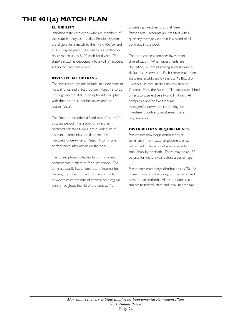# **THE 401(A) MATCH PLAN**

### **ELIGIBILITY**

Maryland state employees who are members of the State Employees Modified Pension System are eligible for a match to their 457, 403(b), and 401(k) payroll plans. The match is a dollar-fordollar match up to \$600 each fiscal year. The state's match is deposited into a 401(a) account set up for each participant.

### **INVESTMENT OPTIONS**

The investment options include an assortment of mutual funds and a fixed option. Pages 18 to 20 list by group the 2001 fund options for all plans with their historical performances and risk factors (beta).

The fixed option offers a fixed rate of return for a stated period. It is a pool of investment contracts selected from a pre-qualified list of insurance companies and fixed-income managers/underwriters. Pages 16 to 17 give performance information on the pool.

The board places collected funds into a new contract that is effective for a set period. The contract usually has a fixed rate of interest for the length of the contract. Some contracts, however, reset the rate of interest on a regular basis throughout the life of the contract's

underlying investments at that time. Participants' accounts are credited with a quarterly average yield that is a blend of all contracts in the pool.

The pool concept provides investment diversification. When investments are diversified, or spread among several carriers, default risk is lowered. Each carrier must meet standards established by the plan's Board of Trustees. Before starting the Investment Contract Pool, the Board of Trustees established criteria to assure diversity and limit risk. All companies and/or fixed income managers/underwriters competing for investment contracts must meet these requirements.

### **DISTRIBUTION REQUIREMENTS**

Participants may begin distributions at termination from state employment or at retirement. The account is also payable upon total disability or death. There may be an IRS penalty for withdrawals before a certain age.

Participants must begin distributions by 70 1/2 unless they are still working for the state (and have not yet retired). All distributions are subject to federal, state and local income tax.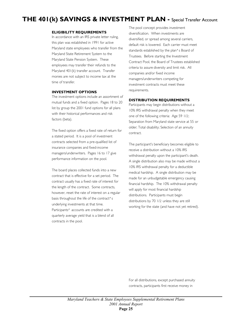# **THE 401(k) SAVINGS & INVESTMENT PLAN -** Special Transfer Account

#### **ELIGIBILITY REQUIREMENTS**

In accordance with an IRS private letter ruling, this plan was established in 1991 for active Maryland state employees who transfer from the Maryland State Retirement System to the Maryland State Pension System. These employees may transfer their refunds to the Maryland 401(k) transfer account. Transfer monies are not subject to income tax at the time of transfer.

#### **INVESTMENT OPTIONS**

The investment options include an assortment of mutual funds and a fixed option. Pages 18 to 20 list by group the 2001 fund options for all plans with their historical performances and risk factors (beta).

The fixed option offers a fixed rate of return for a stated period. It is a pool of investment contracts selected from a pre-qualified list of insurance companies and fixed-income managers/underwriters. Pages 16 to 17 give performance information on the pool.

The board places collected funds into a new contract that is effective for a set period. The contract usually has a fixed rate of interest for the length of the contract. Some contracts, however, reset the rate of interest on a regular basis throughout the life of the contract's underlying investments at that time. Participants' accounts are credited with a quarterly average yield that is a blend of all contracts in the pool.

The pool concept provides investment diversification. When investments are diversified, or spread among several carriers, default risk is lowered. Each carrier must meet standards established by the plan's Board of Trustees. Before starting the Investment Contract Pool, the Board of Trustees established criteria to assure diversity and limit risk. All companies and/or fixed income managers/underwriters competing for investment contracts must meet these requirements.

#### **DISTRIBUTION REQUIREMENTS**

Participants may begin distributions without a 10% IRS withdrawal penalty when they meet one of the following criteria: Age 59 1/2; Separation from Maryland state service at 55 or older; Total disability; Selection of an annuity contract.

The participant's beneficiary becomes eligible to receive a distribution without a 10% IRS withdrawal penalty upon the participant's death. A single distribution also may be made without a 10% IRS withdrawal penalty for a deductible medical hardship. A single distribution may be made for an unbudgetable emergency causing financial hardship. The 10% withdrawal penalty will apply for most financial hardship distributions. Participants must begin distributions by 70 1/2 unless they are still working for the state (and have not yet retired).

For all distributions, except purchased annuity contracts, participants first receive money in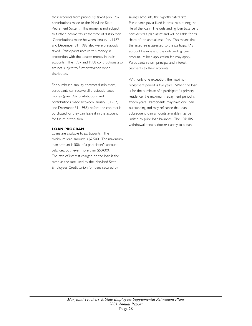their accounts from previously taxed pre-1987 contributions made to the Maryland State Retirement System. This money is not subject to further income tax at the time of distribution. Contributions made between January 1, 1987 and December 31, 1988 also were previously taxed. Participants receive this money in proportion with the taxable money in their accounts. The 1987 and 1988 contributions also are not subject to further taxation when distributed.

For purchased annuity contract distributions, participants can receive all previously-taxed money (pre-1987 contributions and contributions made between January 1, 1987, and December 31, 1988) before the contract is purchased, or they can leave it in the account for future distribution.

#### **LOAN PROGRAM**

Loans are available to participants. The minimum loan amount is \$2,500. The maximum loan amount is 50% of a participant's account balances, but never more than \$50,000. The rate of interest charged on the loan is the same as the rate used by the Maryland State Employees Credit Union for loans secured by

savings accounts, the hypothecated rate. Participants pay a fixed interest rate during the life of the loan. The outstanding loan balance is considered a plan asset and will be liable for its share of the annual asset fee. This means that the asset fee is assessed to the participant's account balance and the outstanding loan amount. A loan application fee may apply. Participants return principal and interest payments to their accounts.

With only one exception, the maximum repayment period is five years. When the loan is for the purchase of a participant's primary residence, the maximum repayment period is fifteen years. Participants may have one loan outstanding and may refinance that loan. Subsequent loan amounts available may be limited by prior loan balances. The 10% IRS withdrawal penalty doesn't apply to a loan.